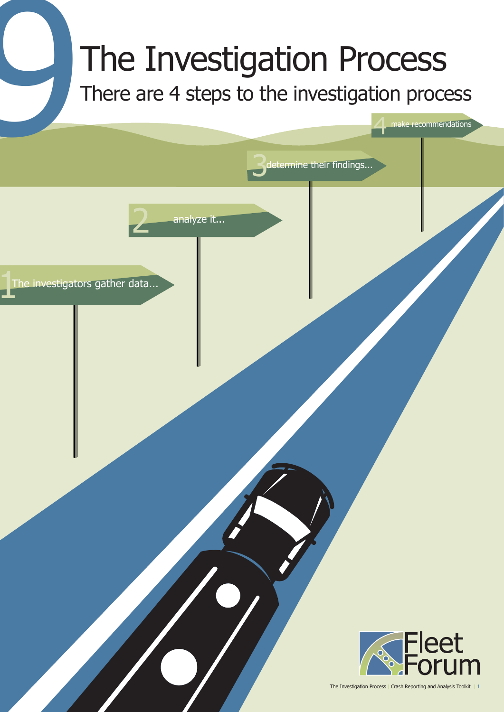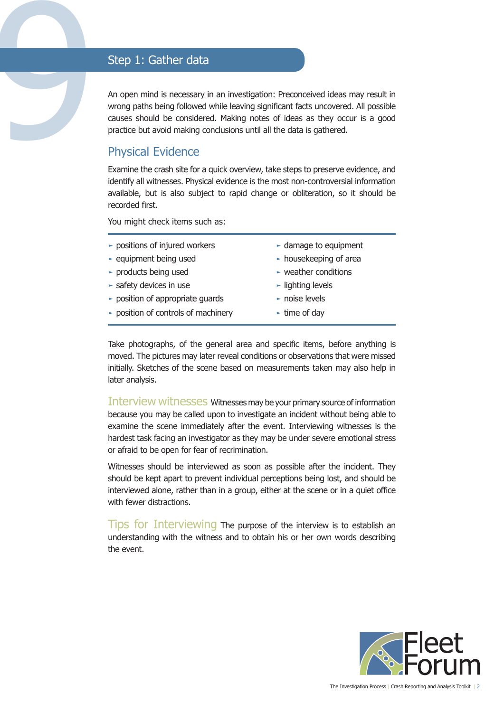Step 1: Gather data<br>
An open mind is necessary is<br>
wrong paths being followed<br>
causes should be considered<br>
practice but avoid making considered<br>
Physical Evidence An open mind is necessary in an investigation: Preconceived ideas may result in wrong paths being followed while leaving significant facts uncovered. All possible causes should be considered. Making notes of ideas as they occur is a good practice but avoid making conclusions until all the data is gathered.

## Physical Evidence

Examine the crash site for a quick overview, take steps to preserve evidence, and identify all witnesses. Physical evidence is the most non-controversial information available, but is also subject to rapid change or obliteration, so it should be recorded first.

You might check items such as:

| $\triangleright$ positions of injured workers      | $\blacktriangleright$ damage to equipment  |
|----------------------------------------------------|--------------------------------------------|
| $\blacktriangleright$ equipment being used         | $\blacktriangleright$ housekeeping of area |
| - products being used                              | $\sim$ weather conditions                  |
| $\blacktriangleright$ safety devices in use        | $\blacktriangleright$ lighting levels      |
| $\triangleright$ position of appropriate guards    | $\blacktriangleright$ noise levels         |
| $\triangleright$ position of controls of machinery | $\blacktriangleright$ time of day          |
|                                                    |                                            |

Take photographs, of the general area and specific items, before anything is moved. The pictures may later reveal conditions or observations that were missed initially. Sketches of the scene based on measurements taken may also help in later analysis.

Interview witnesses Witnesses may be your primary source of information because you may be called upon to investigate an incident without being able to examine the scene immediately after the event. Interviewing witnesses is the hardest task facing an investigator as they may be under severe emotional stress or afraid to be open for fear of recrimination.

Witnesses should be interviewed as soon as possible after the incident. They should be kept apart to prevent individual perceptions being lost, and should be interviewed alone, rather than in a group, either at the scene or in a quiet office with fewer distractions.

Tips for Interviewing The purpose of the interview is to establish an understanding with the witness and to obtain his or her own words describing the event.

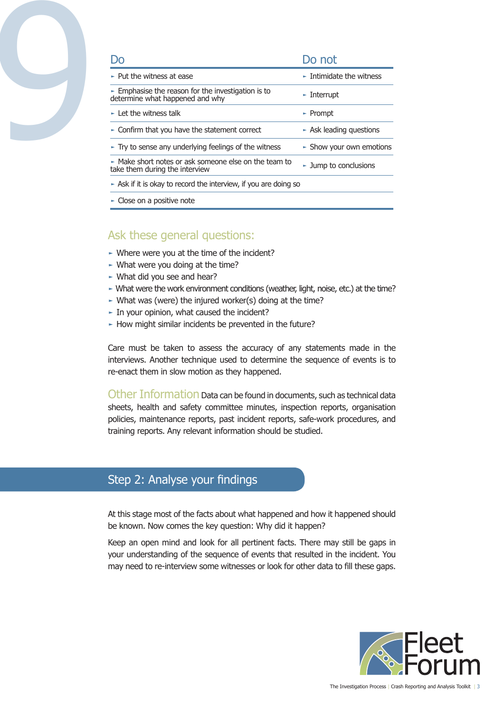

| DO.                                                                                                  | Do not                                       |
|------------------------------------------------------------------------------------------------------|----------------------------------------------|
| $\blacktriangleright$ Put the witness at ease                                                        | $\blacktriangleright$ Intimidate the witness |
| $\triangleright$ Emphasise the reason for the investigation is to<br>determine what happened and why | $\blacktriangleright$ Interrupt              |
| $\blacktriangleright$ Let the witness talk                                                           | $\blacktriangleright$ Prompt                 |
| $\triangleright$ Confirm that you have the statement correct                                         | $\triangleright$ Ask leading questions       |
| $\triangleright$ Try to sense any underlying feelings of the witness                                 | $\triangleright$ Show your own emotions      |
| A Make short notes or ask someone else on the team to<br>take them during the interview              | $\blacktriangleright$ Jump to conclusions    |
| $\triangleright$ Ask if it is okay to record the interview, if you are doing so                      |                                              |
| $\sim$ Close on a positive note                                                                      |                                              |

# Ask these general questions:

- ► Where were you at the time of the incident?
- $\sim$  What were you doing at the time?
- ► What did you see and hear?
- ► What were the work environment conditions (weather, light, noise, etc.) at the time?
- ► What was (were) the injured worker(s) doing at the time?
- ► In your opinion, what caused the incident?
- ► How might similar incidents be prevented in the future?

Care must be taken to assess the accuracy of any statements made in the interviews. Another technique used to determine the sequence of events is to re-enact them in slow motion as they happened.

Other Information Data can be found in documents, such as technical data sheets, health and safety committee minutes, inspection reports, organisation policies, maintenance reports, past incident reports, safe-work procedures, and training reports. Any relevant information should be studied.

# Step 2: Analyse your findings

At this stage most of the facts about what happened and how it happened should be known. Now comes the key question: Why did it happen?

Keep an open mind and look for all pertinent facts. There may still be gaps in your understanding of the sequence of events that resulted in the incident. You may need to re-interview some witnesses or look for other data to fill these gaps.

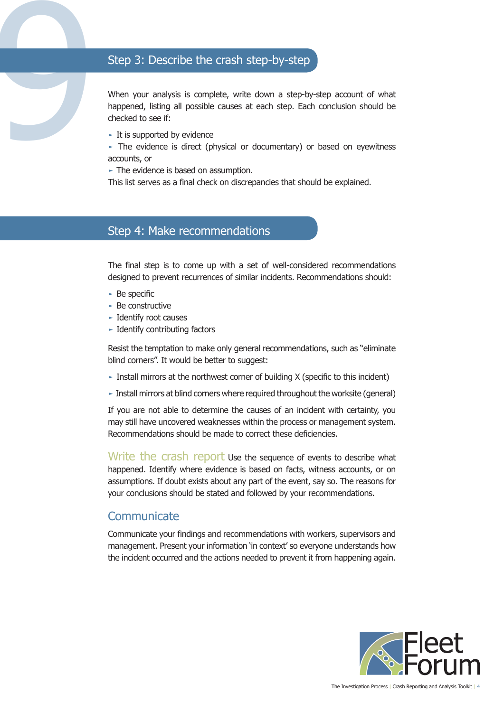# Step 3: Describe the crash step-by-step

When your analysis is complete, write down a step-by-step account of what happened, listing all possible causes at each step. Each conclusion should be checked to see if:

 $\blacktriangleright$  It is supported by evidence

9

► The evidence is direct (physical or documentary) or based on eyewitness accounts, or

► The evidence is based on assumption.

This list serves as a final check on discrepancies that should be explained.

## Step 4: Make recommendations

The final step is to come up with a set of well-considered recommendations designed to prevent recurrences of similar incidents. Recommendations should:

- $\triangleright$  Be specific
- ► Be constructive
- ► Identify root causes
- ► Identify contributing factors

Resist the temptation to make only general recommendations, such as "eliminate blind corners". It would be better to suggest:

- $\blacktriangleright$  Install mirrors at the northwest corner of building X (specific to this incident)
- ► Install mirrors at blind corners where required throughout the worksite (general)

If you are not able to determine the causes of an incident with certainty, you may still have uncovered weaknesses within the process or management system. Recommendations should be made to correct these deficiencies.

Write the crash report use the sequence of events to describe what happened. Identify where evidence is based on facts, witness accounts, or on assumptions. If doubt exists about any part of the event, say so. The reasons for your conclusions should be stated and followed by your recommendations.

### **Communicate**

Communicate your findings and recommendations with workers, supervisors and management. Present your information 'in context' so everyone understands how the incident occurred and the actions needed to prevent it from happening again.